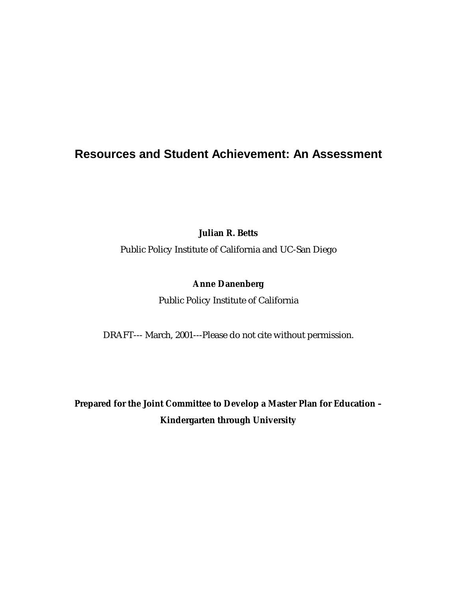# **Resources and Student Achievement: An Assessment**

**Julian R. Betts** 

Public Policy Institute of California and UC-San Diego

# **Anne Danenberg**

Public Policy Institute of California

DRAFT--- March, 2001---Please do not cite without permission.

**Prepared for the Joint Committee to Develop a Master Plan for Education – Kindergarten through University**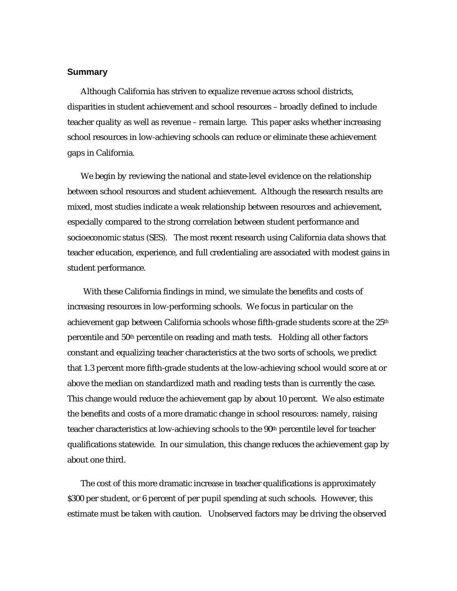### **Summary**

Although California has striven to equalize revenue across school districts, disparities in student achievement and school resources – broadly defined to include teacher quality as well as revenue – remain large. This paper asks whether increasing school resources in low-achieving schools can reduce or eliminate these achievement gaps in California.

We begin by reviewing the national and state-level evidence on the relationship between school resources and student achievement. Although the research results are mixed, most studies indicate a weak relationship between resources and achievement, especially compared to the strong correlation between student performance and socioeconomic status (SES). The most recent research using California data shows that teacher education, experience, and full credentialing are associated with modest gains in student performance.

With these California findings in mind, we simulate the benefits and costs of increasing resources in low-performing schools. We focus in particular on the achievement gap between California schools whose fifth-grade students score at the 25<sup>th</sup> percentile and 50th percentile on reading and math tests. Holding all other factors constant and equalizing teacher characteristics at the two sorts of schools, we predict that 1.3 percent more fifth-grade students at the low-achieving school would score at or above the median on standardized math and reading tests than is currently the case. This change would reduce the achievement gap by about 10 percent. We also estimate the benefits and costs of a more dramatic change in school resources: namely, raising teacher characteristics at low-achieving schools to the 90th percentile level for teacher qualifications statewide. In our simulation, this change reduces the achievement gap by about one third.

The cost of this more dramatic increase in teacher qualifications is approximately \$300 per student, or 6 percent of per pupil spending at such schools. However, this estimate must be taken with caution. Unobserved factors may be driving the observed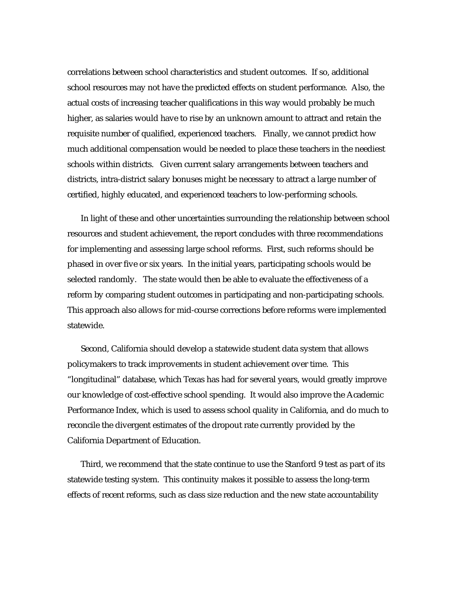correlations between school characteristics and student outcomes. If so, additional school resources may not have the predicted effects on student performance. Also, the actual costs of increasing teacher qualifications in this way would probably be much higher, as salaries would have to rise by an unknown amount to attract and retain the requisite number of qualified, experienced teachers. Finally, we cannot predict how much additional compensation would be needed to place these teachers in the neediest schools within districts. Given current salary arrangements between teachers and districts, intra-district salary bonuses might be necessary to attract a large number of certified, highly educated, and experienced teachers to low-performing schools.

In light of these and other uncertainties surrounding the relationship between school resources and student achievement, the report concludes with three recommendations for implementing and assessing large school reforms. First, such reforms should be phased in over five or six years. In the initial years, participating schools would be selected randomly. The state would then be able to evaluate the effectiveness of a reform by comparing student outcomes in participating and non-participating schools. This approach also allows for mid-course corrections before reforms were implemented statewide.

Second, California should develop a statewide student data system that allows policymakers to track improvements in student achievement over time. This "longitudinal" database, which Texas has had for several years, would greatly improve our knowledge of cost-effective school spending. It would also improve the Academic Performance Index, which is used to assess school quality in California, and do much to reconcile the divergent estimates of the dropout rate currently provided by the California Department of Education.

Third, we recommend that the state continue to use the Stanford 9 test as part of its statewide testing system. This continuity makes it possible to assess the long-term effects of recent reforms, such as class size reduction and the new state accountability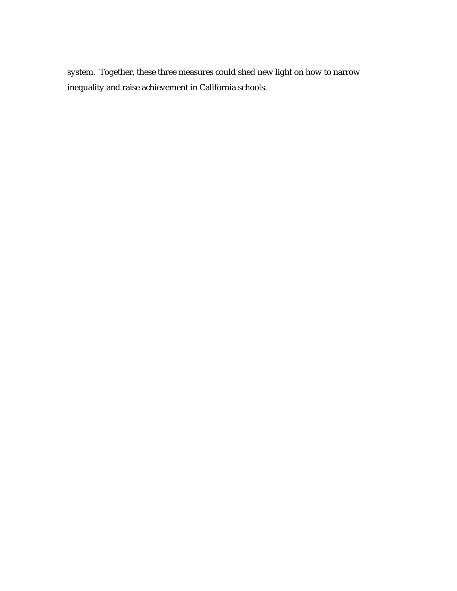system. Together, these three measures could shed new light on how to narrow inequality and raise achievement in California schools.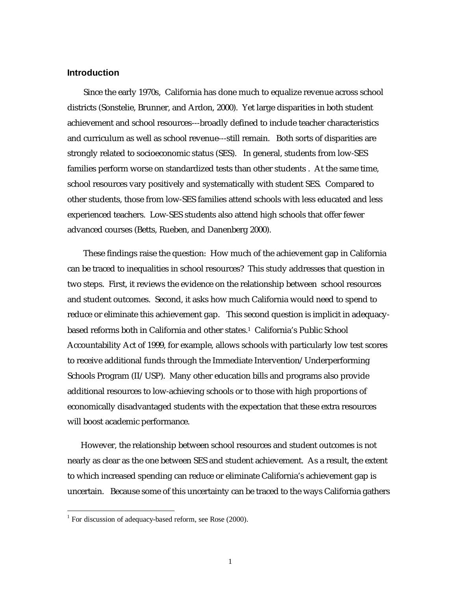#### **Introduction**

Since the early 1970s, California has done much to equalize revenue across school districts (Sonstelie, Brunner, and Ardon, 2000). Yet large disparities in both student achievement and school resources---broadly defined to include teacher characteristics and curriculum as well as school revenue---still remain. Both sorts of disparities are strongly related to socioeconomic status (SES). In general, students from low-SES families perform worse on standardized tests than other students . At the same time, school resources vary positively and systematically with student SES. Compared to other students, those from low-SES families attend schools with less educated and less experienced teachers. Low-SES students also attend high schools that offer fewer advanced courses (Betts, Rueben, and Danenberg 2000).

These findings raise the question: How much of the achievement gap in California can be traced to inequalities in school resources? This study addresses that question in two steps. First, it reviews the evidence on the relationship between school resources and student outcomes. Second, it asks how much California would need to spend to reduce or eliminate this achievement gap. This second question is implicit in adequacybased reforms both in California and other states.1 California's Public School Accountability Act of 1999, for example, allows schools with particularly low test scores to receive additional funds through the Immediate Intervention/Underperforming Schools Program (II/USP). Many other education bills and programs also provide additional resources to low-achieving schools or to those with high proportions of economically disadvantaged students with the expectation that these extra resources will boost academic performance.

However, the relationship between school resources and student outcomes is not nearly as clear as the one between SES and student achievement. As a result, the extent to which increased spending can reduce or eliminate California's achievement gap is uncertain. Because some of this uncertainty can be traced to the ways California gathers

<sup>&</sup>lt;sup>1</sup> For discussion of adequacy-based reform, see Rose (2000).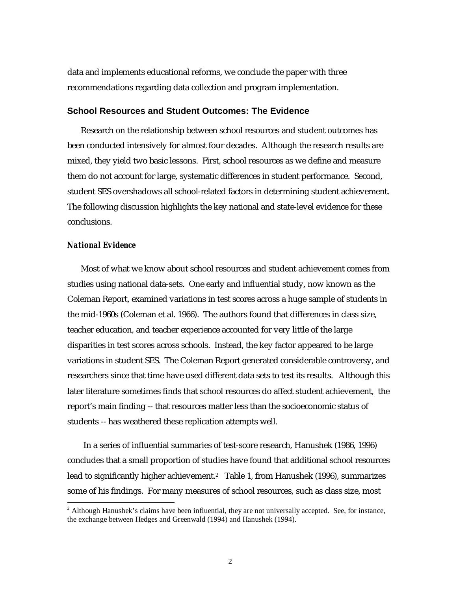data and implements educational reforms, we conclude the paper with three recommendations regarding data collection and program implementation.

### **School Resources and Student Outcomes: The Evidence**

Research on the relationship between school resources and student outcomes has been conducted intensively for almost four decades. Although the research results are mixed, they yield two basic lessons. First, school resources as we define and measure them do not account for large, systematic differences in student performance. Second, student SES overshadows all school-related factors in determining student achievement. The following discussion highlights the key national and state-level evidence for these conclusions.

### *National Evidence*

Most of what we know about school resources and student achievement comes from studies using national data-sets. One early and influential study, now known as the Coleman Report, examined variations in test scores across a huge sample of students in the mid-1960s (Coleman et al. 1966). The authors found that differences in class size, teacher education, and teacher experience accounted for very little of the large disparities in test scores across schools. Instead, the key factor appeared to be large variations in student SES. The Coleman Report generated considerable controversy, and researchers since that time have used different data sets to test its results. Although this later literature sometimes finds that school resources do affect student achievement, the report's main finding -- that resources matter less than the socioeconomic status of students -- has weathered these replication attempts well.

In a series of influential summaries of test-score research, Hanushek (1986, 1996) concludes that a small proportion of studies have found that additional school resources lead to significantly higher achievement.<sup>2</sup> Table 1, from Hanushek (1996), summarizes some of his findings. For many measures of school resources, such as class size, most

 $2$  Although Hanushek's claims have been influential, they are not universally accepted. See, for instance, the exchange between Hedges and Greenwald (1994) and Hanushek (1994).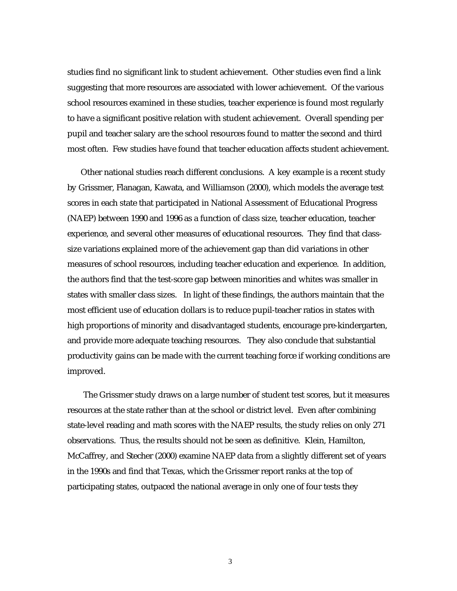studies find no significant link to student achievement. Other studies even find a link suggesting that more resources are associated with lower achievement. Of the various school resources examined in these studies, teacher experience is found most regularly to have a significant positive relation with student achievement. Overall spending per pupil and teacher salary are the school resources found to matter the second and third most often. Few studies have found that teacher education affects student achievement.

Other national studies reach different conclusions. A key example is a recent study by Grissmer, Flanagan, Kawata, and Williamson (2000), which models the average test scores in each state that participated in National Assessment of Educational Progress (NAEP) between 1990 and 1996 as a function of class size, teacher education, teacher experience, and several other measures of educational resources. They find that classsize variations explained more of the achievement gap than did variations in other measures of school resources, including teacher education and experience. In addition, the authors find that the test-score gap between minorities and whites was smaller in states with smaller class sizes. In light of these findings, the authors maintain that the most efficient use of education dollars is to reduce pupil-teacher ratios in states with high proportions of minority and disadvantaged students, encourage pre-kindergarten, and provide more adequate teaching resources. They also conclude that substantial productivity gains can be made with the current teaching force if working conditions are improved.

The Grissmer study draws on a large number of student test scores, but it measures resources at the state rather than at the school or district level. Even after combining state-level reading and math scores with the NAEP results, the study relies on only 271 observations. Thus, the results should not be seen as definitive. Klein, Hamilton, McCaffrey, and Stecher (2000) examine NAEP data from a slightly different set of years in the 1990s and find that Texas, which the Grissmer report ranks at the top of participating states, outpaced the national average in only one of four tests they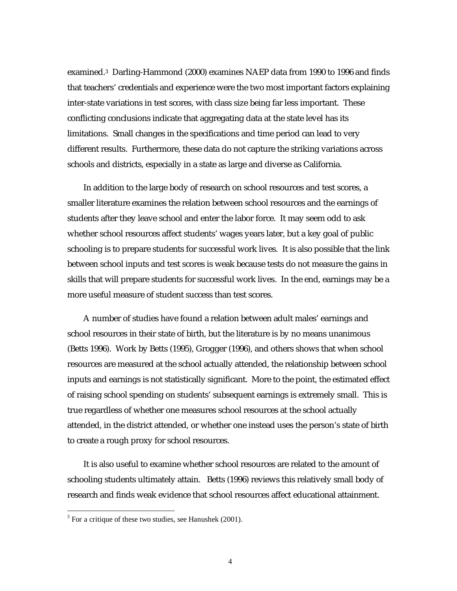examined.3 Darling-Hammond (2000) examines NAEP data from 1990 to 1996 and finds that teachers' credentials and experience were the two most important factors explaining inter-state variations in test scores, with class size being far less important. These conflicting conclusions indicate that aggregating data at the state level has its limitations. Small changes in the specifications and time period can lead to very different results. Furthermore, these data do not capture the striking variations across schools and districts, especially in a state as large and diverse as California.

In addition to the large body of research on school resources and test scores, a smaller literature examines the relation between school resources and the earnings of students after they leave school and enter the labor force. It may seem odd to ask whether school resources affect students' wages years later, but a key goal of public schooling is to prepare students for successful work lives. It is also possible that the link between school inputs and test scores is weak because tests do not measure the gains in skills that will prepare students for successful work lives. In the end, earnings may be a more useful measure of student success than test scores.

A number of studies have found a relation between adult males' earnings and school resources in their state of birth, but the literature is by no means unanimous (Betts 1996). Work by Betts (1995), Grogger (1996), and others shows that when school resources are measured at the school actually attended, the relationship between school inputs and earnings is not statistically significant. More to the point, the estimated effect of raising school spending on students' subsequent earnings is extremely small. This is true regardless of whether one measures school resources at the school actually attended, in the district attended, or whether one instead uses the person's state of birth to create a rough proxy for school resources.

It is also useful to examine whether school resources are related to the amount of schooling students ultimately attain. Betts (1996) reviews this relatively small body of research and finds weak evidence that school resources affect educational attainment.

<sup>&</sup>lt;sup>3</sup> For a critique of these two studies, see Hanushek (2001).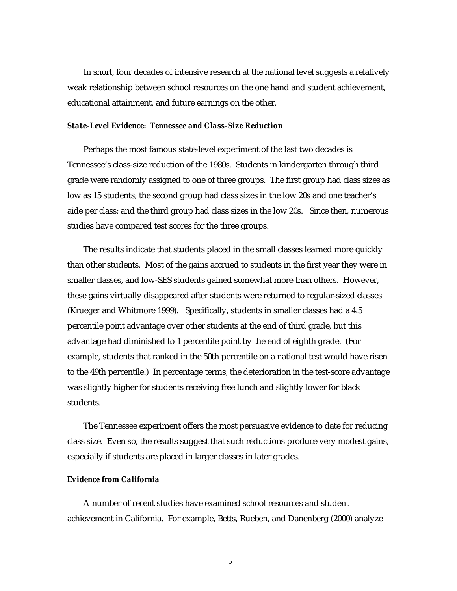In short, four decades of intensive research at the national level suggests a relatively weak relationship between school resources on the one hand and student achievement, educational attainment, and future earnings on the other.

#### *State-Level Evidence: Tennessee and Class-Size Reduction*

Perhaps the most famous state-level experiment of the last two decades is Tennessee's class-size reduction of the 1980s. Students in kindergarten through third grade were randomly assigned to one of three groups. The first group had class sizes as low as 15 students; the second group had class sizes in the low 20s and one teacher's aide per class; and the third group had class sizes in the low 20s. Since then, numerous studies have compared test scores for the three groups.

The results indicate that students placed in the small classes learned more quickly than other students. Most of the gains accrued to students in the first year they were in smaller classes, and low-SES students gained somewhat more than others. However, these gains virtually disappeared after students were returned to regular-sized classes (Krueger and Whitmore 1999). Specifically, students in smaller classes had a 4.5 percentile point advantage over other students at the end of third grade, but this advantage had diminished to 1 percentile point by the end of eighth grade. (For example, students that ranked in the 50th percentile on a national test would have risen to the 49th percentile.) In percentage terms, the deterioration in the test-score advantage was slightly higher for students receiving free lunch and slightly lower for black students.

The Tennessee experiment offers the most persuasive evidence to date for reducing class size. Even so, the results suggest that such reductions produce very modest gains, especially if students are placed in larger classes in later grades.

#### *Evidence from California*

A number of recent studies have examined school resources and student achievement in California. For example, Betts, Rueben, and Danenberg (2000) analyze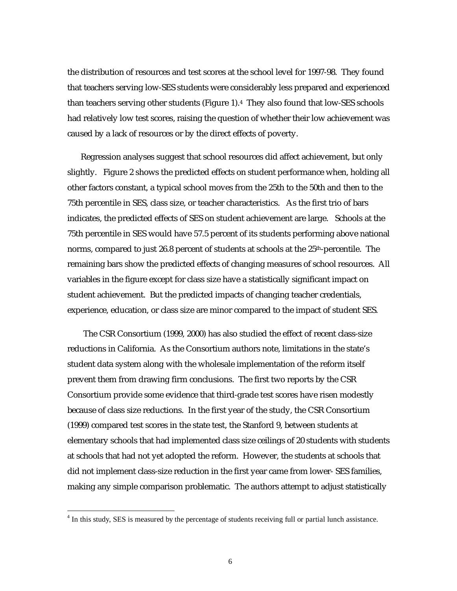the distribution of resources and test scores at the school level for 1997-98. They found that teachers serving low-SES students were considerably less prepared and experienced than teachers serving other students (Figure 1).4 They also found that low-SES schools had relatively low test scores, raising the question of whether their low achievement was caused by a lack of resources or by the direct effects of poverty.

Regression analyses suggest that school resources did affect achievement, but only slightly. Figure 2 shows the predicted effects on student performance when, holding all other factors constant, a typical school moves from the 25th to the 50th and then to the 75th percentile in SES, class size, or teacher characteristics. As the first trio of bars indicates, the predicted effects of SES on student achievement are large. Schools at the 75th percentile in SES would have 57.5 percent of its students performing above national norms, compared to just 26.8 percent of students at schools at the 25<sup>th</sup>-percentile. The remaining bars show the predicted effects of changing measures of school resources. All variables in the figure except for class size have a statistically significant impact on student achievement. But the predicted impacts of changing teacher credentials, experience, education, or class size are minor compared to the impact of student SES.

The CSR Consortium (1999, 2000) has also studied the effect of recent class-size reductions in California. As the Consortium authors note, limitations in the state's student data system along with the wholesale implementation of the reform itself prevent them from drawing firm conclusions. The first two reports by the CSR Consortium provide some evidence that third-grade test scores have risen modestly because of class size reductions. In the first year of the study, the CSR Consortium (1999) compared test scores in the state test, the Stanford 9, between students at elementary schools that had implemented class size ceilings of 20 students with students at schools that had not yet adopted the reform. However, the students at schools that did not implement class-size reduction in the first year came from lower- SES families, making any simple comparison problematic. The authors attempt to adjust statistically

<sup>&</sup>lt;sup>4</sup> In this study, SES is measured by the percentage of students receiving full or partial lunch assistance.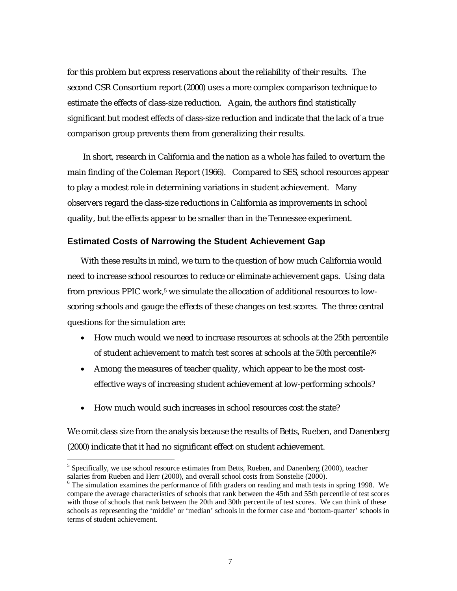for this problem but express reservations about the reliability of their results. The second CSR Consortium report (2000) uses a more complex comparison technique to estimate the effects of class-size reduction. Again, the authors find statistically significant but modest effects of class-size reduction and indicate that the lack of a true comparison group prevents them from generalizing their results.

 In short, research in California and the nation as a whole has failed to overturn the main finding of the Coleman Report (1966). Compared to SES, school resources appear to play a modest role in determining variations in student achievement. Many observers regard the class-size reductions in California as improvements in school quality, but the effects appear to be smaller than in the Tennessee experiment.

#### **Estimated Costs of Narrowing the Student Achievement Gap**

With these results in mind, we turn to the question of how much California would need to increase school resources to reduce or eliminate achievement gaps. Using data from previous PPIC work,<sup>5</sup> we simulate the allocation of additional resources to lowscoring schools and gauge the effects of these changes on test scores. The three central questions for the simulation are:

- How much would we need to increase resources at schools at the 25th percentile of student achievement to match test scores at schools at the 50th percentile?6
- Among the measures of teacher quality, which appear to be the most costeffective ways of increasing student achievement at low-performing schools?
- How much would such increases in school resources cost the state?

 $\overline{a}$ 

We omit class size from the analysis because the results of Betts, Rueben, and Danenberg (2000) indicate that it had no significant effect on student achievement.

<sup>&</sup>lt;sup>5</sup> Specifically, we use school resource estimates from Betts, Rueben, and Danenberg (2000), teacher salaries from Rueben and Herr (2000), and overall school costs from Sonstelie (2000).

<sup>&</sup>lt;sup>6</sup> The simulation examines the performance of fifth graders on reading and math tests in spring 1998. We compare the average characteristics of schools that rank between the 45th and 55th percentile of test scores with those of schools that rank between the 20th and 30th percentile of test scores. We can think of these schools as representing the 'middle' or 'median' schools in the former case and 'bottom-quarter' schools in terms of student achievement.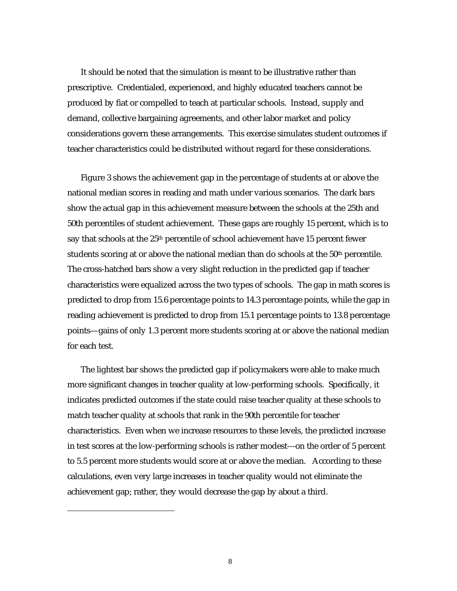It should be noted that the simulation is meant to be illustrative rather than prescriptive. Credentialed, experienced, and highly educated teachers cannot be produced by fiat or compelled to teach at particular schools. Instead, supply and demand, collective bargaining agreements, and other labor market and policy considerations govern these arrangements. This exercise simulates student outcomes if teacher characteristics could be distributed without regard for these considerations.

Figure 3 shows the achievement gap in the percentage of students at or above the national median scores in reading and math under various scenarios. The dark bars show the actual gap in this achievement measure between the schools at the 25th and 50th percentiles of student achievement. These gaps are roughly 15 percent, which is to say that schools at the 25th percentile of school achievement have 15 percent fewer students scoring at or above the national median than do schools at the 50<sup>th</sup> percentile. The cross-hatched bars show a very slight reduction in the predicted gap if teacher characteristics were equalized across the two types of schools. The gap in math scores is predicted to drop from 15.6 percentage points to 14.3 percentage points, while the gap in reading achievement is predicted to drop from 15.1 percentage points to 13.8 percentage points—gains of only 1.3 percent more students scoring at or above the national median for each test.

The lightest bar shows the predicted gap if policymakers were able to make much more significant changes in teacher quality at low-performing schools. Specifically, it indicates predicted outcomes if the state could raise teacher quality at these schools to match teacher quality at schools that rank in the 90th percentile for teacher characteristics. Even when we increase resources to these levels, the predicted increase in test scores at the low-performing schools is rather modest---on the order of 5 percent to 5.5 percent more students would score at or above the median. According to these calculations, even very large increases in teacher quality would not eliminate the achievement gap; rather, they would decrease the gap by about a third.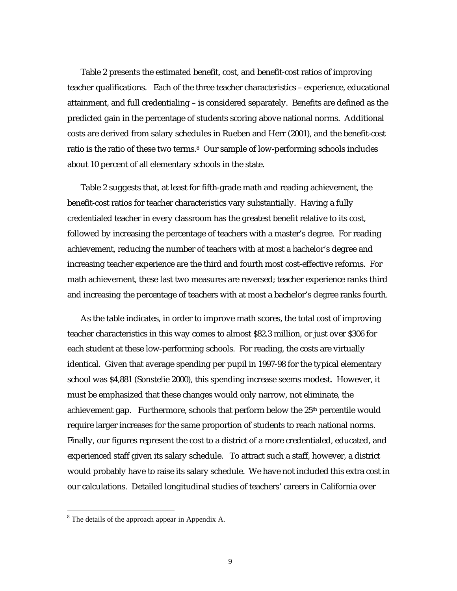Table 2 presents the estimated benefit, cost, and benefit-cost ratios of improving teacher qualifications. Each of the three teacher characteristics – experience, educational attainment, and full credentialing – is considered separately. Benefits are defined as the predicted gain in the percentage of students scoring above national norms. Additional costs are derived from salary schedules in Rueben and Herr (2001), and the benefit-cost ratio is the ratio of these two terms.8 Our sample of low-performing schools includes about 10 percent of all elementary schools in the state.

Table 2 suggests that, at least for fifth-grade math and reading achievement, the benefit-cost ratios for teacher characteristics vary substantially. Having a fully credentialed teacher in every classroom has the greatest benefit relative to its cost, followed by increasing the percentage of teachers with a master's degree. For reading achievement, reducing the number of teachers with at most a bachelor's degree and increasing teacher experience are the third and fourth most cost-effective reforms. For math achievement, these last two measures are reversed; teacher experience ranks third and increasing the percentage of teachers with at most a bachelor's degree ranks fourth.

As the table indicates, in order to improve math scores, the total cost of improving teacher characteristics in this way comes to almost \$82.3 million, or just over \$306 for each student at these low-performing schools. For reading, the costs are virtually identical. Given that average spending per pupil in 1997-98 for the typical elementary school was \$4,881 (Sonstelie 2000), this spending increase seems modest. However, it must be emphasized that these changes would only narrow, not eliminate, the achievement gap. Furthermore, schools that perform below the 25<sup>th</sup> percentile would require larger increases for the same proportion of students to reach national norms. Finally, our figures represent the cost to a district of a more credentialed, educated, and experienced staff given its salary schedule. To attract such a staff, however, a district would probably have to raise its salary schedule. We have not included this extra cost in our calculations. Detailed longitudinal studies of teachers' careers in California over

<sup>&</sup>lt;sup>8</sup> The details of the approach appear in Appendix A.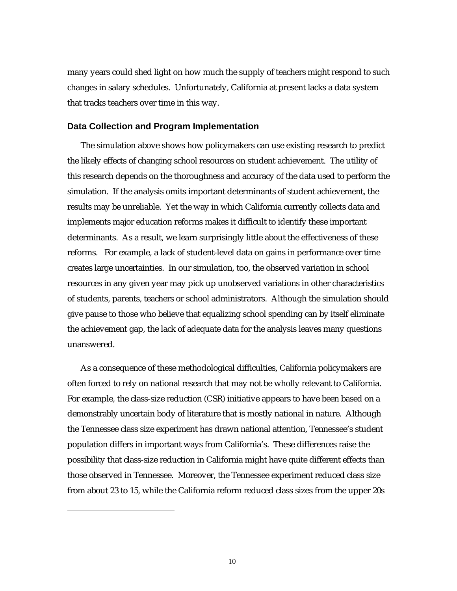many years could shed light on how much the supply of teachers might respond to such changes in salary schedules. Unfortunately, California at present lacks a data system that tracks teachers over time in this way.

#### **Data Collection and Program Implementation**

The simulation above shows how policymakers can use existing research to predict the likely effects of changing school resources on student achievement. The utility of this research depends on the thoroughness and accuracy of the data used to perform the simulation. If the analysis omits important determinants of student achievement, the results may be unreliable. Yet the way in which California currently collects data and implements major education reforms makes it difficult to identify these important determinants. As a result, we learn surprisingly little about the effectiveness of these reforms. For example, a lack of student-level data on gains in performance over time creates large uncertainties. In our simulation, too, the observed variation in school resources in any given year may pick up unobserved variations in other characteristics of students, parents, teachers or school administrators. Although the simulation should give pause to those who believe that equalizing school spending can by itself eliminate the achievement gap, the lack of adequate data for the analysis leaves many questions unanswered.

As a consequence of these methodological difficulties, California policymakers are often forced to rely on national research that may not be wholly relevant to California. For example, the class-size reduction (CSR) initiative appears to have been based on a demonstrably uncertain body of literature that is mostly national in nature. Although the Tennessee class size experiment has drawn national attention, Tennessee's student population differs in important ways from California's. These differences raise the possibility that class-size reduction in California might have quite different effects than those observed in Tennessee. Moreover, the Tennessee experiment reduced class size from about 23 to 15, while the California reform reduced class sizes from the upper 20s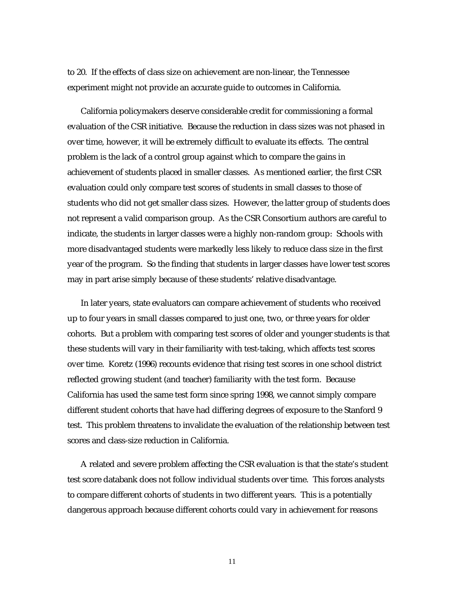to 20. If the effects of class size on achievement are non-linear, the Tennessee experiment might not provide an accurate guide to outcomes in California.

California policymakers deserve considerable credit for commissioning a formal evaluation of the CSR initiative. Because the reduction in class sizes was not phased in over time, however, it will be extremely difficult to evaluate its effects. The central problem is the lack of a control group against which to compare the gains in achievement of students placed in smaller classes. As mentioned earlier, the first CSR evaluation could only compare test scores of students in small classes to those of students who did not get smaller class sizes. However, the latter group of students does not represent a valid comparison group. As the CSR Consortium authors are careful to indicate, the students in larger classes were a highly non-random group: Schools with more disadvantaged students were markedly less likely to reduce class size in the first year of the program. So the finding that students in larger classes have lower test scores may in part arise simply because of these students' relative disadvantage.

In later years, state evaluators can compare achievement of students who received up to four years in small classes compared to just one, two, or three years for older cohorts. But a problem with comparing test scores of older and younger students is that these students will vary in their familiarity with test-taking, which affects test scores over time. Koretz (1996) recounts evidence that rising test scores in one school district reflected growing student (and teacher) familiarity with the test form. Because California has used the same test form since spring 1998, we cannot simply compare different student cohorts that have had differing degrees of exposure to the Stanford 9 test. This problem threatens to invalidate the evaluation of the relationship between test scores and class-size reduction in California.

A related and severe problem affecting the CSR evaluation is that the state's student test score databank does not follow individual students over time. This forces analysts to compare different cohorts of students in two different years. This is a potentially dangerous approach because different cohorts could vary in achievement for reasons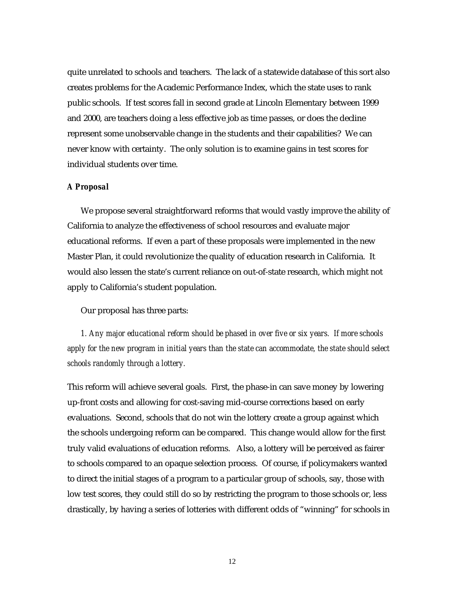quite unrelated to schools and teachers. The lack of a statewide database of this sort also creates problems for the Academic Performance Index, which the state uses to rank public schools. If test scores fall in second grade at Lincoln Elementary between 1999 and 2000, are teachers doing a less effective job as time passes, or does the decline represent some unobservable change in the students and their capabilities? We can never know with certainty. The only solution is to examine gains in test scores for individual students over time.

#### *A Proposal*

We propose several straightforward reforms that would vastly improve the ability of California to analyze the effectiveness of school resources and evaluate major educational reforms. If even a part of these proposals were implemented in the new Master Plan, it could revolutionize the quality of education research in California. It would also lessen the state's current reliance on out-of-state research, which might not apply to California's student population.

Our proposal has three parts:

*1. Any major educational reform should be phased in over five or six years. If more schools apply for the new program in initial years than the state can accommodate, the state should select schools randomly through a lottery.* 

This reform will achieve several goals. First, the phase-in can save money by lowering up-front costs and allowing for cost-saving mid-course corrections based on early evaluations. Second, schools that do not win the lottery create a group against which the schools undergoing reform can be compared. This change would allow for the first truly valid evaluations of education reforms. Also, a lottery will be perceived as fairer to schools compared to an opaque selection process. Of course, if policymakers wanted to direct the initial stages of a program to a particular group of schools, say, those with low test scores, they could still do so by restricting the program to those schools or, less drastically, by having a series of lotteries with different odds of "winning" for schools in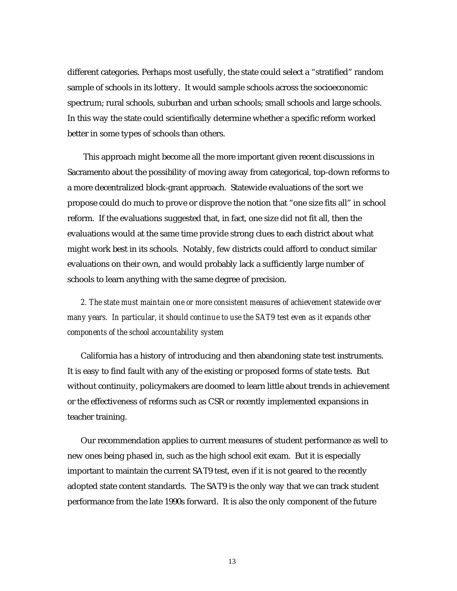different categories. Perhaps most usefully, the state could select a "stratified" random sample of schools in its lottery. It would sample schools across the socioeconomic spectrum; rural schools, suburban and urban schools; small schools and large schools. In this way the state could scientifically determine whether a specific reform worked better in some types of schools than others.

This approach might become all the more important given recent discussions in Sacramento about the possibility of moving away from categorical, top-down reforms to a more decentralized block-grant approach. Statewide evaluations of the sort we propose could do much to prove or disprove the notion that "one size fits all" in school reform. If the evaluations suggested that, in fact, one size did not fit all, then the evaluations would at the same time provide strong clues to each district about what might work best in its schools. Notably, few districts could afford to conduct similar evaluations on their own, and would probably lack a sufficiently large number of schools to learn anything with the same degree of precision.

*2. The state must maintain one or more consistent measures of achievement statewide over many years. In particular, it should continue to use the SAT9 test even as it expands other components of the school accountability system*

California has a history of introducing and then abandoning state test instruments. It is easy to find fault with any of the existing or proposed forms of state tests. But without continuity, policymakers are doomed to learn little about trends in achievement or the effectiveness of reforms such as CSR or recently implemented expansions in teacher training.

Our recommendation applies to current measures of student performance as well to new ones being phased in, such as the high school exit exam. But it is especially important to maintain the current SAT9 test, even if it is not geared to the recently adopted state content standards. The SAT9 is the only way that we can track student performance from the late 1990s forward. It is also the only component of the future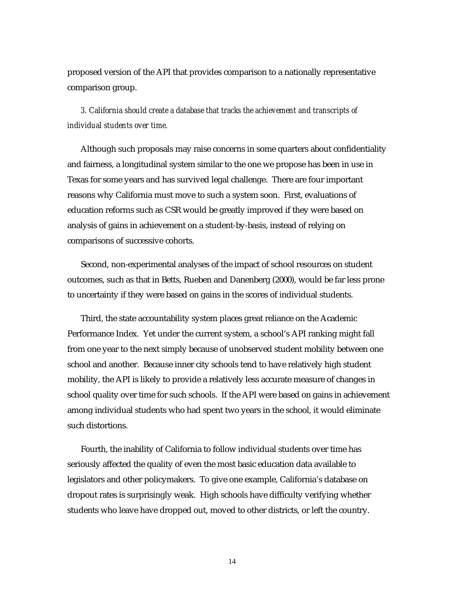proposed version of the API that provides comparison to a nationally representative comparison group.

*3. California should create a database that tracks the achievement and transcripts of individual students over time.* 

Although such proposals may raise concerns in some quarters about confidentiality and fairness, a longitudinal system similar to the one we propose has been in use in Texas for some years and has survived legal challenge. There are four important reasons why California must move to such a system soon. First, evaluations of education reforms such as CSR would be greatly improved if they were based on analysis of gains in achievement on a student-by-basis, instead of relying on comparisons of successive cohorts.

Second, non-experimental analyses of the impact of school resources on student outcomes, such as that in Betts, Rueben and Danenberg (2000), would be far less prone to uncertainty if they were based on gains in the scores of individual students.

Third, the state accountability system places great reliance on the Academic Performance Index. Yet under the current system, a school's API ranking might fall from one year to the next simply because of unobserved student mobility between one school and another. Because inner city schools tend to have relatively high student mobility, the API is likely to provide a relatively less accurate measure of changes in school quality over time for such schools. If the API were based on gains in achievement among individual students who had spent two years in the school, it would eliminate such distortions.

Fourth, the inability of California to follow individual students over time has seriously affected the quality of even the most basic education data available to legislators and other policymakers. To give one example, California's database on dropout rates is surprisingly weak. High schools have difficulty verifying whether students who leave have dropped out, moved to other districts, or left the country.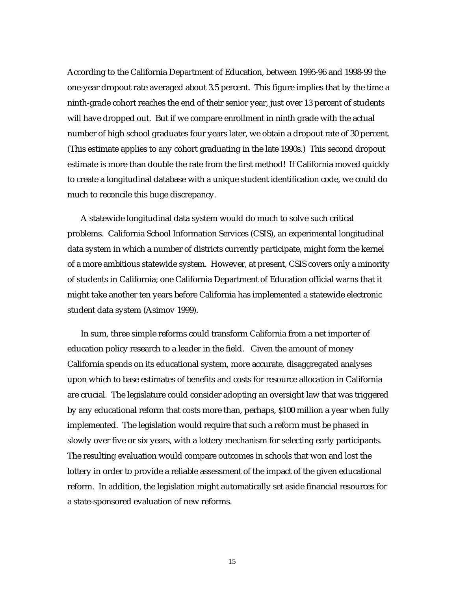According to the California Department of Education, between 1995-96 and 1998-99 the one-year dropout rate averaged about 3.5 percent. This figure implies that by the time a ninth-grade cohort reaches the end of their senior year, just over 13 percent of students will have dropped out. But if we compare enrollment in ninth grade with the actual number of high school graduates four years later, we obtain a dropout rate of 30 percent. (This estimate applies to any cohort graduating in the late 1990s.) This second dropout estimate is more than double the rate from the first method! If California moved quickly to create a longitudinal database with a unique student identification code, we could do much to reconcile this huge discrepancy.

A statewide longitudinal data system would do much to solve such critical problems. California School Information Services (CSIS), an experimental longitudinal data system in which a number of districts currently participate, might form the kernel of a more ambitious statewide system. However, at present, CSIS covers only a minority of students in California; one California Department of Education official warns that it might take another ten years before California has implemented a statewide electronic student data system (Asimov 1999).

In sum, three simple reforms could transform California from a net importer of education policy research to a leader in the field. Given the amount of money California spends on its educational system, more accurate, disaggregated analyses upon which to base estimates of benefits and costs for resource allocation in California are crucial. The legislature could consider adopting an oversight law that was triggered by any educational reform that costs more than, perhaps, \$100 million a year when fully implemented. The legislation would require that such a reform must be phased in slowly over five or six years, with a lottery mechanism for selecting early participants. The resulting evaluation would compare outcomes in schools that won and lost the lottery in order to provide a reliable assessment of the impact of the given educational reform. In addition, the legislation might automatically set aside financial resources for a state-sponsored evaluation of new reforms.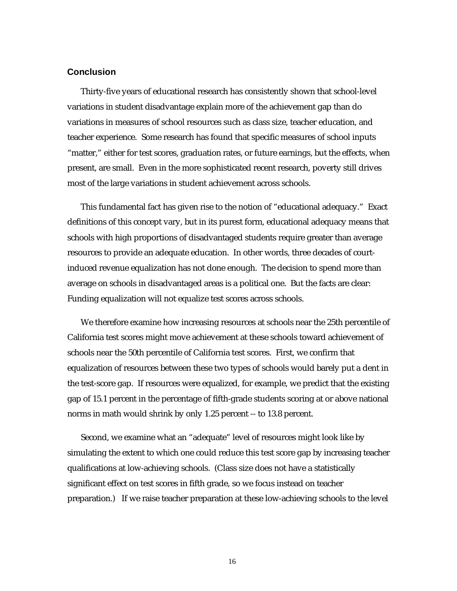## **Conclusion**

Thirty-five years of educational research has consistently shown that school-level variations in student disadvantage explain more of the achievement gap than do variations in measures of school resources such as class size, teacher education, and teacher experience. Some research has found that specific measures of school inputs "matter," either for test scores, graduation rates, or future earnings, but the effects, when present, are small. Even in the more sophisticated recent research, poverty still drives most of the large variations in student achievement across schools.

This fundamental fact has given rise to the notion of "educational adequacy." Exact definitions of this concept vary, but in its purest form, educational adequacy means that schools with high proportions of disadvantaged students require greater than average resources to provide an adequate education. In other words, three decades of courtinduced revenue equalization has not done enough. The decision to spend more than average on schools in disadvantaged areas is a political one. But the facts are clear: Funding equalization will not equalize test scores across schools.

We therefore examine how increasing resources at schools near the 25th percentile of California test scores might move achievement at these schools toward achievement of schools near the 50th percentile of California test scores. First, we confirm that equalization of resources between these two types of schools would barely put a dent in the test-score gap. If resources were equalized, for example, we predict that the existing gap of 15.1 percent in the percentage of fifth-grade students scoring at or above national norms in math would shrink by only 1.25 percent -- to 13.8 percent.

Second, we examine what an "adequate" level of resources might look like by simulating the extent to which one could reduce this test score gap by increasing teacher qualifications at low-achieving schools. (Class size does not have a statistically significant effect on test scores in fifth grade, so we focus instead on teacher preparation.) If we raise teacher preparation at these low-achieving schools to the level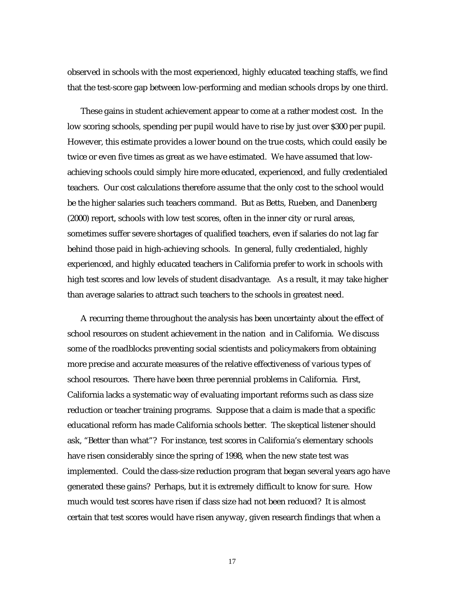observed in schools with the most experienced, highly educated teaching staffs, we find that the test-score gap between low-performing and median schools drops by one third.

These gains in student achievement appear to come at a rather modest cost. In the low scoring schools, spending per pupil would have to rise by just over \$300 per pupil. However, this estimate provides a lower bound on the true costs, which could easily be twice or even five times as great as we have estimated. We have assumed that lowachieving schools could simply hire more educated, experienced, and fully credentialed teachers. Our cost calculations therefore assume that the only cost to the school would be the higher salaries such teachers command. But as Betts, Rueben, and Danenberg (2000) report, schools with low test scores, often in the inner city or rural areas, sometimes suffer severe shortages of qualified teachers, even if salaries do not lag far behind those paid in high-achieving schools. In general, fully credentialed, highly experienced, and highly educated teachers in California prefer to work in schools with high test scores and low levels of student disadvantage. As a result, it may take higher than average salaries to attract such teachers to the schools in greatest need.

A recurring theme throughout the analysis has been uncertainty about the effect of school resources on student achievement in the nation and in California. We discuss some of the roadblocks preventing social scientists and policymakers from obtaining more precise and accurate measures of the relative effectiveness of various types of school resources. There have been three perennial problems in California. First, California lacks a systematic way of evaluating important reforms such as class size reduction or teacher training programs. Suppose that a claim is made that a specific educational reform has made California schools better. The skeptical listener should ask, "Better than what"? For instance, test scores in California's elementary schools have risen considerably since the spring of 1998, when the new state test was implemented. Could the class-size reduction program that began several years ago have generated these gains? Perhaps, but it is extremely difficult to know for sure. How much would test scores have risen if class size had not been reduced? It is almost certain that test scores would have risen anyway, given research findings that when a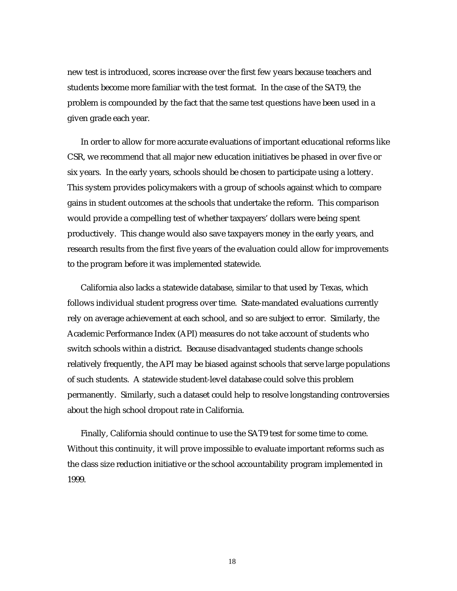new test is introduced, scores increase over the first few years because teachers and students become more familiar with the test format. In the case of the SAT9, the problem is compounded by the fact that the same test questions have been used in a given grade each year.

In order to allow for more accurate evaluations of important educational reforms like CSR, we recommend that all major new education initiatives be phased in over five or six years. In the early years, schools should be chosen to participate using a lottery. This system provides policymakers with a group of schools against which to compare gains in student outcomes at the schools that undertake the reform. This comparison would provide a compelling test of whether taxpayers' dollars were being spent productively. This change would also save taxpayers money in the early years, and research results from the first five years of the evaluation could allow for improvements to the program before it was implemented statewide.

California also lacks a statewide database, similar to that used by Texas, which follows individual student progress over time. State-mandated evaluations currently rely on average achievement at each school, and so are subject to error. Similarly, the Academic Performance Index (API) measures do not take account of students who switch schools within a district. Because disadvantaged students change schools relatively frequently, the API may be biased against schools that serve large populations of such students. A statewide student-level database could solve this problem permanently. Similarly, such a dataset could help to resolve longstanding controversies about the high school dropout rate in California.

Finally, California should continue to use the SAT9 test for some time to come. Without this continuity, it will prove impossible to evaluate important reforms such as the class size reduction initiative or the school accountability program implemented in 1999.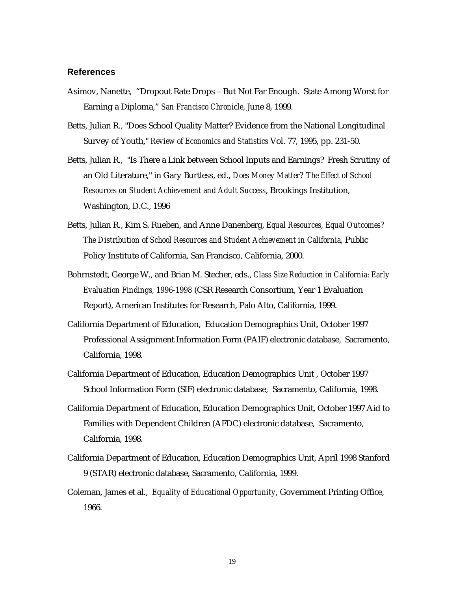#### **References**

- Asimov, Nanette, "Dropout Rate Drops But Not Far Enough. State Among Worst for Earning a Diploma," *San Francisco Chronicle*, June 8, 1999.
- Betts, Julian R., "Does School Quality Matter? Evidence from the National Longitudinal Survey of Youth," *Review of Economics and Statistics* Vol. 77, 1995, pp. 231-50.
- Betts, Julian R., "Is There a Link between School Inputs and Earnings? Fresh Scrutiny of an Old Literature," in Gary Burtless, ed., *Does Money Matter? The Effect of School Resources on Student Achievement and Adult Success*, Brookings Institution, Washington, D.C., 1996
- Betts, Julian R., Kim S. Rueben, and Anne Danenberg, *Equal Resources, Equal Outcomes? The Distribution of School Resources and Student Achievement in California,* Public Policy Institute of California, San Francisco, California, 2000.
- Bohrnstedt, George W., and Brian M. Stecher, eds., *Class Size Reduction in California: Early Evaluation Findings, 1996-1998* (CSR Research Consortium, Year 1 Evaluation Report), American Institutes for Research, Palo Alto, California, 1999.
- California Department of Education, Education Demographics Unit, October 1997 Professional Assignment Information Form (PAIF) electronic database, Sacramento, California, 1998.
- California Department of Education, Education Demographics Unit , October 1997 School Information Form (SIF) electronic database, Sacramento, California, 1998.
- California Department of Education, Education Demographics Unit, October 1997 Aid to Families with Dependent Children (AFDC) electronic database, Sacramento, California, 1998.
- California Department of Education, Education Demographics Unit, April 1998 Stanford 9 (STAR) electronic database, Sacramento, California, 1999.
- Coleman, James et al., *Equality of Educational Opportunity*, Government Printing Office, 1966.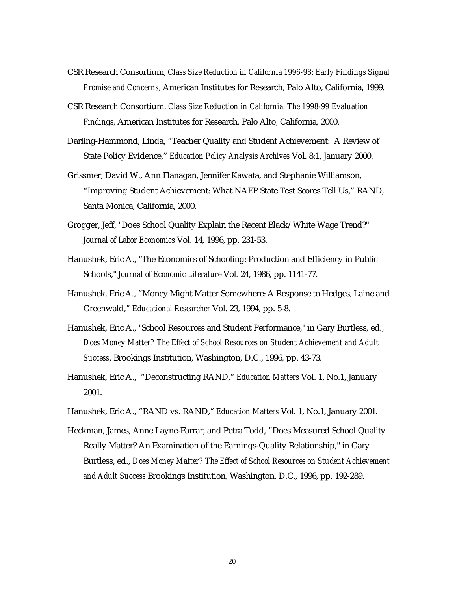- CSR Research Consortium, *Class Size Reduction in California 1996-98: Early Findings Signal Promise and Concerns*, American Institutes for Research, Palo Alto, California, 1999.
- CSR Research Consortium, *Class Size Reduction in California: The 1998-99 Evaluation Findings*, American Institutes for Research, Palo Alto, California, 2000.
- Darling-Hammond, Linda, "Teacher Quality and Student Achievement: A Review of State Policy Evidence," *Education Policy Analysis Archives* Vol. 8:1, January 2000.
- Grissmer, David W., Ann Flanagan, Jennifer Kawata, and Stephanie Williamson, "Improving Student Achievement: What NAEP State Test Scores Tell Us," RAND, Santa Monica, California, 2000.
- Grogger, Jeff, "Does School Quality Explain the Recent Black/White Wage Trend?" *Journal of Labor Economics* Vol. 14, 1996, pp. 231-53.
- Hanushek, Eric A., "The Economics of Schooling: Production and Efficiency in Public Schools," *Journal of Economic Literature* Vol*.* 24, 1986, pp. 1141-77.
- Hanushek, Eric A., "Money Might Matter Somewhere: A Response to Hedges, Laine and Greenwald," *Educational Researcher* Vol. 23, 1994, pp. 5-8.
- Hanushek, Eric A., "School Resources and Student Performance," in Gary Burtless, ed., *Does Money Matter? The Effect of School Resources on Student Achievement and Adult Success*, Brookings Institution, Washington, D.C., 1996, pp. 43-73.
- Hanushek, Eric A., "Deconstructing RAND," *Education Matters* Vol. 1, No.1, January 2001.
- Hanushek, Eric A., "RAND vs. RAND," *Education Matters* Vol. 1, No.1, January 2001.
- Heckman, James, Anne Layne-Farrar, and Petra Todd, "Does Measured School Quality Really Matter? An Examination of the Earnings-Quality Relationship," in Gary Burtless, ed., *Does Money Matter? The Effect of School Resources on Student Achievement and Adult Success* Brookings Institution, Washington, D.C., 1996, pp. 192-289.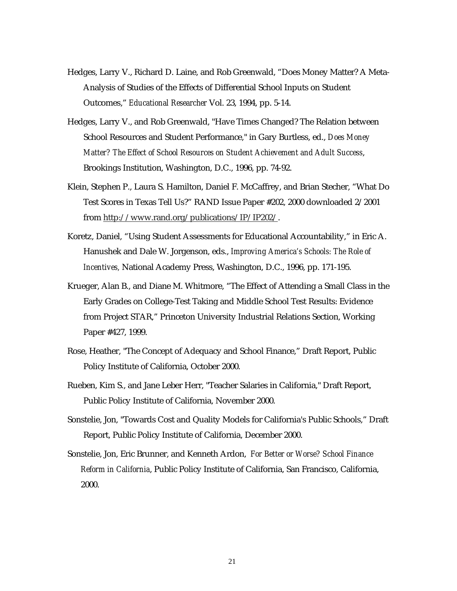- Hedges, Larry V., Richard D. Laine, and Rob Greenwald, "Does Money Matter? A Meta-Analysis of Studies of the Effects of Differential School Inputs on Student Outcomes," *Educational Researcher* Vol. 23, 1994, pp. 5-14.
- Hedges, Larry V., and Rob Greenwald, "Have Times Changed? The Relation between School Resources and Student Performance," in Gary Burtless, ed., *Does Money Matter? The Effect of School Resources on Student Achievement and Adult Success*, Brookings Institution, Washington, D.C., 1996, pp. 74-92.
- Klein, Stephen P., Laura S. Hamilton, Daniel F. McCaffrey, and Brian Stecher, "What Do Test Scores in Texas Tell Us?" RAND Issue Paper #202, 2000 downloaded 2/2001 from http://www.rand.org/publications/IP/IP202/.
- Koretz, Daniel, "Using Student Assessments for Educational Accountability," in Eric A. Hanushek and Dale W. Jorgenson, eds., *Improving America's Schools: The Role of Incentives,* National Academy Press, Washington, D.C., 1996, pp. 171-195.
- Krueger, Alan B., and Diane M. Whitmore, "The Effect of Attending a Small Class in the Early Grades on College-Test Taking and Middle School Test Results: Evidence from Project STAR," Princeton University Industrial Relations Section, Working Paper #427, 1999.
- Rose, Heather, "The Concept of Adequacy and School Finance," Draft Report, Public Policy Institute of California, October 2000.
- Rueben, Kim S., and Jane Leber Herr, "Teacher Salaries in California," Draft Report, Public Policy Institute of California, November 2000.
- Sonstelie, Jon, "Towards Cost and Quality Models for California's Public Schools," Draft Report, Public Policy Institute of California, December 2000.
- Sonstelie, Jon, Eric Brunner, and Kenneth Ardon, *For Better or Worse? School Finance Reform in California*, Public Policy Institute of California, San Francisco, California, 2000.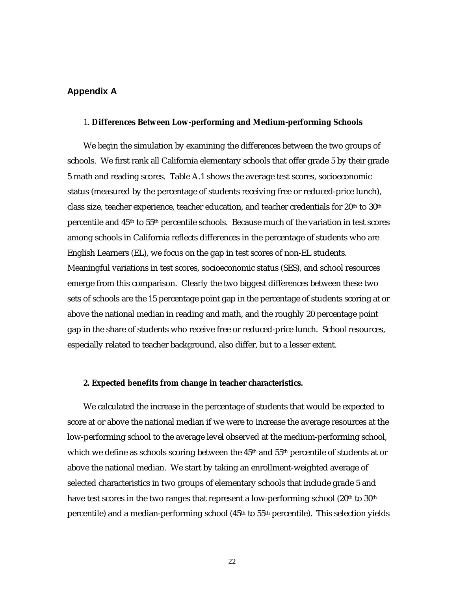## **Appendix A**

#### 1. **Differences Between Low-performing and Medium-performing Schools**

We begin the simulation by examining the differences between the two groups of schools. We first rank all California elementary schools that offer grade 5 by their grade 5 math and reading scores. Table A.1 shows the average test scores, socioeconomic status (measured by the percentage of students receiving free or reduced-price lunch), class size, teacher experience, teacher education, and teacher credentials for 20th to 30th percentile and 45th to 55th percentile schools. Because much of the variation in test scores among schools in California reflects differences in the percentage of students who are English Learners (EL), we focus on the gap in test scores of non-EL students. Meaningful variations in test scores, socioeconomic status (SES), and school resources emerge from this comparison. Clearly the two biggest differences between these two sets of schools are the 15 percentage point gap in the percentage of students scoring at or above the national median in reading and math, and the roughly 20 percentage point gap in the share of students who receive free or reduced-price lunch. School resources, especially related to teacher background, also differ, but to a lesser extent.

#### **2. Expected benefits from change in teacher characteristics.**

We calculated the increase in the percentage of students that would be expected to score at or above the national median if we were to increase the average resources at the low-performing school to the average level observed at the medium-performing school, which we define as schools scoring between the 45<sup>th</sup> and 55<sup>th</sup> percentile of students at or above the national median. We start by taking an enrollment-weighted average of selected characteristics in two groups of elementary schools that include grade 5 and have test scores in the two ranges that represent a low-performing school (20<sup>th</sup> to 30<sup>th</sup>) percentile) and a median-performing school  $(45<sup>th</sup>$  to  $55<sup>th</sup>$  percentile). This selection yields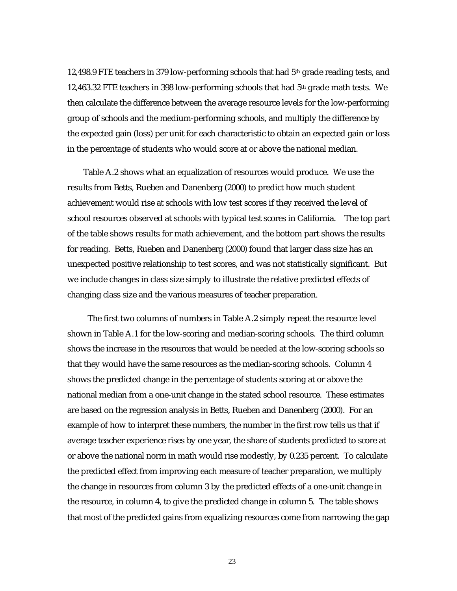12,498.9 FTE teachers in 379 low-performing schools that had  $5<sup>th</sup>$  grade reading tests, and 12,463.32 FTE teachers in 398 low-performing schools that had  $5<sup>th</sup>$  grade math tests. We then calculate the difference between the average resource levels for the low-performing group of schools and the medium-performing schools, and multiply the difference by the expected gain (loss) per unit for each characteristic to obtain an expected gain or loss in the percentage of students who would score at or above the national median.

Table A.2 shows what an equalization of resources would produce. We use the results from Betts, Rueben and Danenberg (2000) to predict how much student achievement would rise at schools with low test scores if they received the level of school resources observed at schools with typical test scores in California. The top part of the table shows results for math achievement, and the bottom part shows the results for reading. Betts, Rueben and Danenberg (2000) found that larger class size has an unexpected positive relationship to test scores, and was not statistically significant. But we include changes in class size simply to illustrate the relative predicted effects of changing class size and the various measures of teacher preparation.

 The first two columns of numbers in Table A.2 simply repeat the resource level shown in Table A.1 for the low-scoring and median-scoring schools. The third column shows the increase in the resources that would be needed at the low-scoring schools so that they would have the same resources as the median-scoring schools. Column 4 shows the predicted change in the percentage of students scoring at or above the national median from a one-unit change in the stated school resource. These estimates are based on the regression analysis in Betts, Rueben and Danenberg (2000). For an example of how to interpret these numbers, the number in the first row tells us that if average teacher experience rises by one year, the share of students predicted to score at or above the national norm in math would rise modestly, by 0.235 percent. To calculate the predicted effect from improving each measure of teacher preparation, we multiply the change in resources from column 3 by the predicted effects of a one-unit change in the resource, in column 4, to give the predicted change in column 5. The table shows that most of the predicted gains from equalizing resources come from narrowing the gap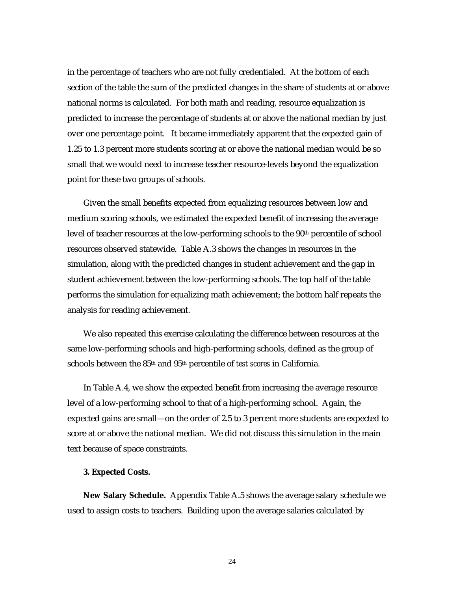in the percentage of teachers who are not fully credentialed. At the bottom of each section of the table the sum of the predicted changes in the share of students at or above national norms is calculated. For both math and reading, resource equalization is predicted to increase the percentage of students at or above the national median by just over one percentage point. It became immediately apparent that the expected gain of 1.25 to 1.3 percent more students scoring at or above the national median would be so small that we would need to increase teacher resource-levels beyond the equalization point for these two groups of schools.

Given the small benefits expected from equalizing resources between low and medium scoring schools, we estimated the expected benefit of increasing the average level of teacher resources at the low-performing schools to the  $90<sup>th</sup>$  percentile of school resources observed statewide. Table A.3 shows the changes in resources in the simulation, along with the predicted changes in student achievement and the gap in student achievement between the low-performing schools. The top half of the table performs the simulation for equalizing math achievement; the bottom half repeats the analysis for reading achievement.

We also repeated this exercise calculating the difference between resources at the same low-performing schools and high-performing schools, defined as the group of schools between the 85th and 95th percentile of *test scores* in California.

In Table A.4, we show the expected benefit from increasing the average resource level of a low-performing school to that of a high-performing school. Again, the expected gains are small—on the order of 2.5 to 3 percent more students are expected to score at or above the national median. We did not discuss this simulation in the main text because of space constraints.

#### **3. Expected Costs.**

**New Salary Schedule.** Appendix Table A.5 shows the average salary schedule we used to assign costs to teachers. Building upon the average salaries calculated by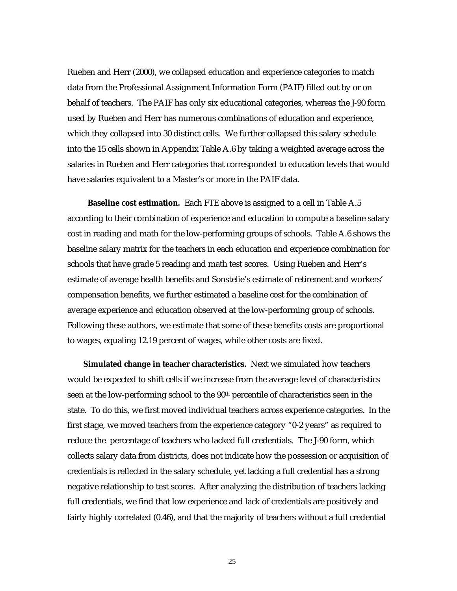Rueben and Herr (2000), we collapsed education and experience categories to match data from the Professional Assignment Information Form (PAIF) filled out by or on behalf of teachers. The PAIF has only six educational categories, whereas the J-90 form used by Rueben and Herr has numerous combinations of education and experience, which they collapsed into 30 distinct cells. We further collapsed this salary schedule into the 15 cells shown in Appendix Table A.6 by taking a weighted average across the salaries in Rueben and Herr categories that corresponded to education levels that would have salaries equivalent to a Master's or more in the PAIF data.

 **Baseline cost estimation.** Each FTE above is assigned to a cell in Table A.5 according to their combination of experience and education to compute a baseline salary cost in reading and math for the low-performing groups of schools. Table A.6 shows the baseline salary matrix for the teachers in each education and experience combination for schools that have grade 5 reading and math test scores. Using Rueben and Herr's estimate of average health benefits and Sonstelie's estimate of retirement and workers' compensation benefits, we further estimated a baseline cost for the combination of average experience and education observed at the low-performing group of schools. Following these authors, we estimate that some of these benefits costs are proportional to wages, equaling 12.19 percent of wages, while other costs are fixed.

**Simulated change in teacher characteristics.** Next we simulated how teachers would be expected to shift cells if we increase from the average level of characteristics seen at the low-performing school to the  $90<sup>th</sup>$  percentile of characteristics seen in the state. To do this, we first moved individual teachers across experience categories. In the first stage, we moved teachers from the experience category "0-2 years" as required to reduce the percentage of teachers who lacked full credentials. The J-90 form, which collects salary data from districts, does not indicate how the possession or acquisition of credentials is reflected in the salary schedule, yet lacking a full credential has a strong negative relationship to test scores. After analyzing the distribution of teachers lacking full credentials, we find that low experience and lack of credentials are positively and fairly highly correlated (0.46), and that the majority of teachers without a full credential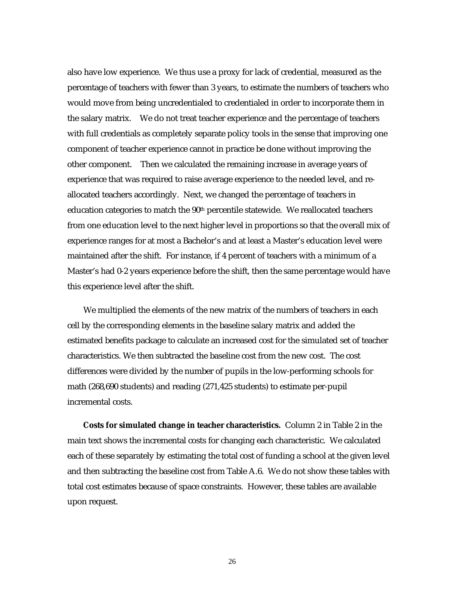also have low experience. We thus use a proxy for lack of credential, measured as the percentage of teachers with fewer than 3 years, to estimate the numbers of teachers who would move from being uncredentialed to credentialed in order to incorporate them in the salary matrix. We do not treat teacher experience and the percentage of teachers with full credentials as completely separate policy tools in the sense that improving one component of teacher experience cannot in practice be done without improving the other component. Then we calculated the remaining increase in average years of experience that was required to raise average experience to the needed level, and reallocated teachers accordingly. Next, we changed the percentage of teachers in education categories to match the  $90<sup>th</sup>$  percentile statewide. We reallocated teachers from one education level to the next higher level in proportions so that the overall mix of experience ranges for at most a Bachelor's and at least a Master's education level were maintained after the shift. For instance, if 4 percent of teachers with a minimum of a Master's had 0-2 years experience before the shift, then the same percentage would have this experience level after the shift.

We multiplied the elements of the new matrix of the numbers of teachers in each cell by the corresponding elements in the baseline salary matrix and added the estimated benefits package to calculate an increased cost for the simulated set of teacher characteristics. We then subtracted the baseline cost from the new cost. The cost differences were divided by the number of pupils in the low-performing schools for math (268,690 students) and reading (271,425 students) to estimate per-pupil incremental costs.

**Costs for simulated change in teacher characteristics.** Column 2 in Table 2 in the main text shows the incremental costs for changing each characteristic. We calculated each of these separately by estimating the total cost of funding a school at the given level and then subtracting the baseline cost from Table A.6. We do not show these tables with total cost estimates because of space constraints. However, these tables are available upon request.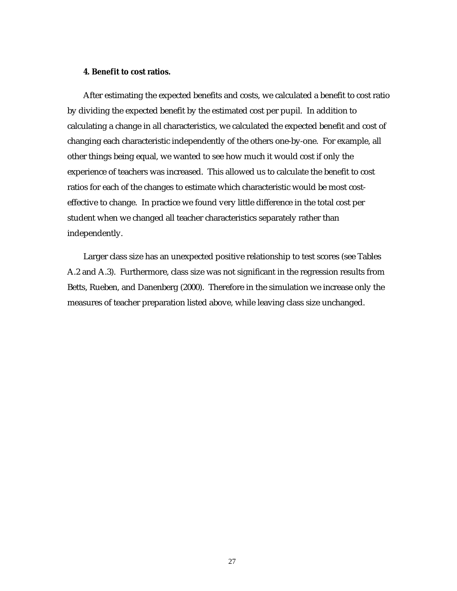### **4. Benefit to cost ratios.**

After estimating the expected benefits and costs, we calculated a benefit to cost ratio by dividing the expected benefit by the estimated cost per pupil. In addition to calculating a change in all characteristics, we calculated the expected benefit and cost of changing each characteristic independently of the others one-by-one. For example, all other things being equal, we wanted to see how much it would cost if only the experience of teachers was increased. This allowed us to calculate the benefit to cost ratios for each of the changes to estimate which characteristic would be most costeffective to change. In practice we found very little difference in the total cost per student when we changed all teacher characteristics separately rather than independently.

Larger class size has an unexpected positive relationship to test scores (see Tables A.2 and A.3). Furthermore, class size was not significant in the regression results from Betts, Rueben, and Danenberg (2000). Therefore in the simulation we increase only the measures of teacher preparation listed above, while leaving class size unchanged.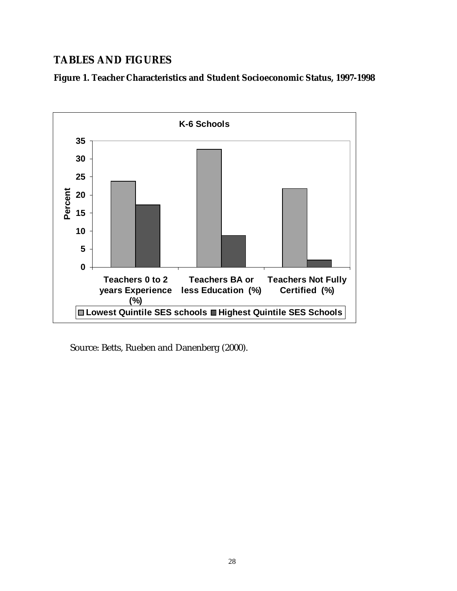# **TABLES AND FIGURES**

**Figure 1. Teacher Characteristics and Student Socioeconomic Status, 1997-1998** 



Source: Betts, Rueben and Danenberg (2000).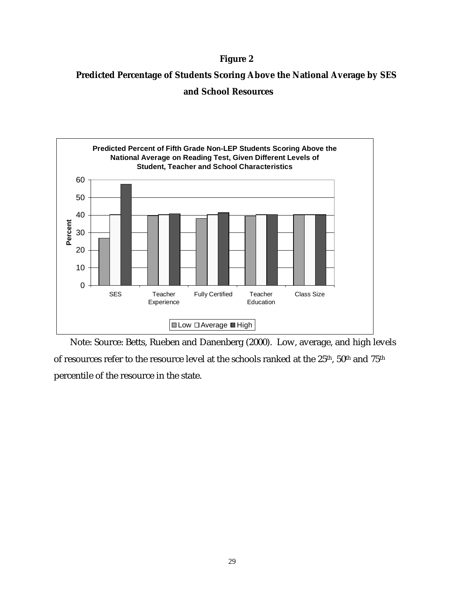## **Figure 2**

# **Predicted Percentage of Students Scoring Above the National Average by SES and School Resources**



Note: Source: Betts, Rueben and Danenberg (2000). Low, average, and high levels of resources refer to the resource level at the schools ranked at the 25<sup>th</sup>, 50<sup>th</sup> and 75<sup>th</sup> percentile of the resource in the state.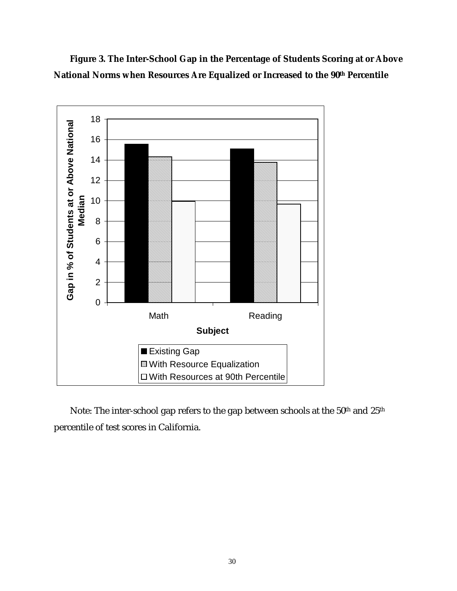**Figure 3. The Inter-School Gap in the Percentage of Students Scoring at or Above**  National Norms when Resources Are Equalized or Increased to the 90<sup>th</sup> Percentile



Note: The inter-school gap refers to the gap between schools at the 50<sup>th</sup> and 25<sup>th</sup> percentile of test scores in California.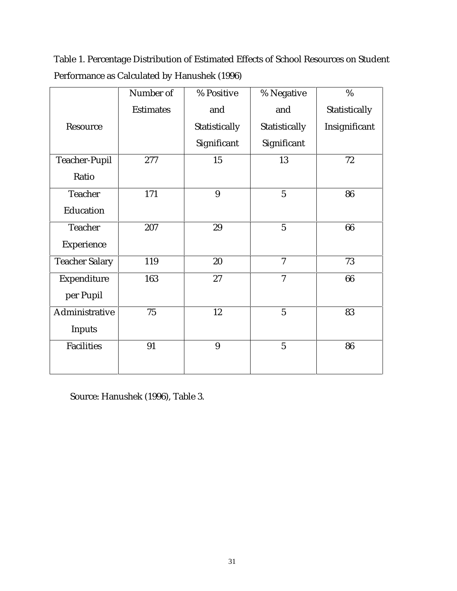Table 1. Percentage Distribution of Estimated Effects of School Resources on Student Performance as Calculated by Hanushek (1996)

|                       | Number of        | % Positive    | % Negative               | $\%$          |
|-----------------------|------------------|---------------|--------------------------|---------------|
|                       | <b>Estimates</b> | and           | and                      | Statistically |
| Resource              |                  | Statistically | Statistically            | Insignificant |
|                       |                  | Significant   | Significant              |               |
| <b>Teacher-Pupil</b>  | 277              | 15            | 13                       | 72            |
| Ratio                 |                  |               |                          |               |
| <b>Teacher</b>        | 171              | 9             | $\overline{5}$           | 86            |
| Education             |                  |               |                          |               |
| <b>Teacher</b>        | 207              | 29            | $\overline{5}$           | 66            |
| Experience            |                  |               |                          |               |
| <b>Teacher Salary</b> | 119              | 20            | $\overline{7}$           | 73            |
| Expenditure           | 163              | 27            | $\overline{\mathcal{U}}$ | 66            |
| per Pupil             |                  |               |                          |               |
| Administrative        | 75               | 12            | $\overline{5}$           | 83            |
| <b>Inputs</b>         |                  |               |                          |               |
| <b>Facilities</b>     | 91               | 9             | $\overline{5}$           | 86            |
|                       |                  |               |                          |               |

Source: Hanushek (1996), Table 3.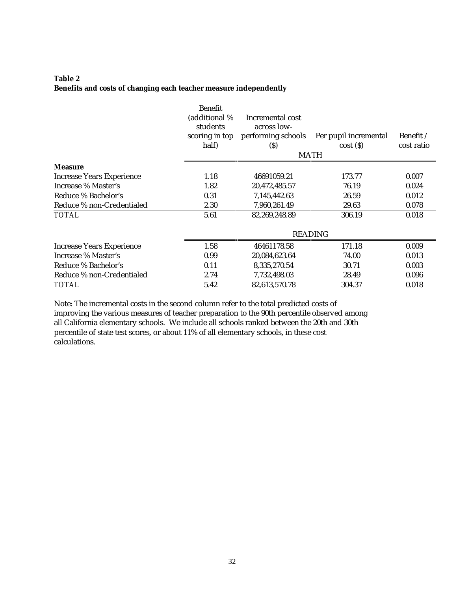## **Table 2 Benefits and costs of changing each teacher measure independently**

|                                  | <b>Benefit</b><br>(additional %<br>students<br>scoring in top<br>half) | Incremental cost<br>across low-<br>performing schools<br>$\left( \mathbf{S}\right)$ | Per pupil incremental<br>cost(S)<br><b>MATH</b> | Benefit /<br>cost ratio |
|----------------------------------|------------------------------------------------------------------------|-------------------------------------------------------------------------------------|-------------------------------------------------|-------------------------|
| <b>Measure</b>                   |                                                                        |                                                                                     |                                                 |                         |
| <b>Increase Years Experience</b> | 1.18                                                                   | 46691059.21                                                                         | 173.77                                          | 0.007                   |
| Increase % Master's              | 1.82                                                                   | 20,472,485.57                                                                       | 76.19                                           | 0.024                   |
| Reduce % Bachelor's              | 0.31                                                                   | 7,145,442.63                                                                        | 26.59                                           | 0.012                   |
| Reduce % non-Credentialed        | 2.30                                                                   | 7,960,261.49                                                                        | 29.63                                           | 0.078                   |
| <b>TOTAL</b>                     | 5.61                                                                   | 82,269,248.89                                                                       | 306.19                                          | 0.018                   |
|                                  |                                                                        |                                                                                     | <b>READING</b>                                  |                         |
| <b>Increase Years Experience</b> | 1.58                                                                   | 46461178.58                                                                         | 171.18                                          | 0.009                   |
| Increase % Master's              | 0.99                                                                   | 20,084,623.64                                                                       | 74.00                                           | 0.013                   |
| Reduce % Bachelor's              | 0.11                                                                   | 8,335,270.54                                                                        | 30.71                                           | 0.003                   |
| Reduce % non-Credentialed        | 2.74                                                                   | 7,732,498.03                                                                        | 28.49                                           | 0.096                   |
| <b>TOTAL</b>                     | 5.42                                                                   | 82,613,570.78                                                                       | 304.37                                          | 0.018                   |

Note: The incremental costs in the second column refer to the total predicted costs of improving the various measures of teacher preparation to the 90th percentile observed among all California elementary schools. We include all schools ranked between the 20th and 30th percentile of state test scores, or about 11% of all elementary schools, in these cost calculations.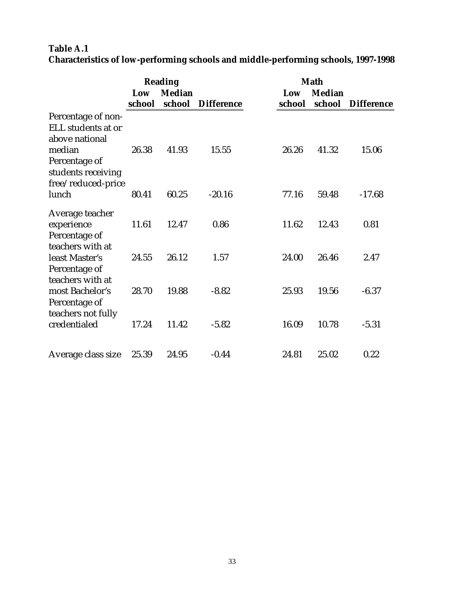# **Table A.1 Characteristics of low-performing schools and middle-performing schools, 1997-1998**

|                                                                                                             |               | <b>Reading</b>          |                   | <b>Math</b>   |                         |                   |  |
|-------------------------------------------------------------------------------------------------------------|---------------|-------------------------|-------------------|---------------|-------------------------|-------------------|--|
|                                                                                                             | Low<br>school | <b>Median</b><br>school | <b>Difference</b> | Low<br>school | <b>Median</b><br>school | <b>Difference</b> |  |
| Percentage of non-<br>ELL students at or<br>above national<br>median<br>Percentage of<br>students receiving | 26.38         | 41.93                   | 15.55             | 26.26         | 41.32                   | 15.06             |  |
| free/reduced-price<br>lunch                                                                                 | 80.41         | 60.25                   | $-20.16$          | 77.16         | 59.48                   | $-17.68$          |  |
| Average teacher<br>experience<br>Percentage of                                                              | 11.61         | 12.47                   | 0.86              | 11.62         | 12.43                   | 0.81              |  |
| teachers with at<br>least Master's<br>Percentage of                                                         | 24.55         | 26.12                   | 1.57              | 24.00         | 26.46                   | 2.47              |  |
| teachers with at<br>most Bachelor's<br>Percentage of                                                        | 28.70         | 19.88                   | $-8.82$           | 25.93         | 19.56                   | $-6.37$           |  |
| teachers not fully<br>credentialed                                                                          | 17.24         | 11.42                   | $-5.82$           | 16.09         | 10.78                   | $-5.31$           |  |
| Average class size                                                                                          | 25.39         | 24.95                   | $-0.44$           | 24.81         | 25.02                   | 0.22              |  |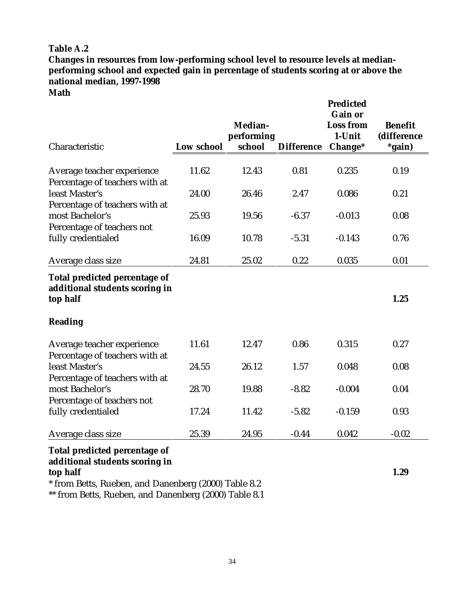**Changes in resources from low-performing school level to resource levels at medianperforming school and expected gain in percentage of students scoring at or above the national median, 1997-1998** 

**Math** 

|                                                                                                                                     |            | Median-<br>performing |                   | <b>Predicted</b><br><b>Gain or</b><br><b>Loss from</b><br>1-Unit | <b>Benefit</b><br>(difference |
|-------------------------------------------------------------------------------------------------------------------------------------|------------|-----------------------|-------------------|------------------------------------------------------------------|-------------------------------|
| Characteristic                                                                                                                      | Low school | school                | <b>Difference</b> | Change*                                                          | *gain)                        |
| Average teacher experience<br>Percentage of teachers with at                                                                        | 11.62      | 12.43                 | 0.81              | 0.235                                                            | 0.19                          |
| least Master's                                                                                                                      | 24.00      | 26.46                 | 2.47              | 0.086                                                            | 0.21                          |
| Percentage of teachers with at<br>most Bachelor's<br>Percentage of teachers not                                                     | 25.93      | 19.56                 | $-6.37$           | $-0.013$                                                         | 0.08                          |
| fully credentialed                                                                                                                  | 16.09      | 10.78                 | $-5.31$           | $-0.143$                                                         | 0.76                          |
| Average class size                                                                                                                  | 24.81      | 25.02                 | 0.22              | 0.035                                                            | 0.01                          |
| Total predicted percentage of<br>additional students scoring in<br>top half<br>Reading                                              |            |                       |                   |                                                                  | 1.25                          |
| Average teacher experience                                                                                                          | 11.61      | 12.47                 | 0.86              | 0.315                                                            | 0.27                          |
| Percentage of teachers with at<br>least Master's                                                                                    | 24.55      | 26.12                 | 1.57              | 0.048                                                            | 0.08                          |
| Percentage of teachers with at<br>most Bachelor's<br>Percentage of teachers not                                                     | 28.70      | 19.88                 | $-8.82$           | $-0.004$                                                         | 0.04                          |
| fully credentialed                                                                                                                  | 17.24      | 11.42                 | $-5.82$           | $-0.159$                                                         | 0.93                          |
| Average class size                                                                                                                  | 25.39      | 24.95                 | $-0.44$           | 0.042                                                            | $-0.02$                       |
| Total predicted percentage of<br>additional students scoring in<br>top half<br>* from Betts, Rueben, and Danenberg (2000) Table 8.2 |            |                       |                   |                                                                  | 1.29                          |

\*\* from Betts, Rueben, and Danenberg (2000) Table 8.1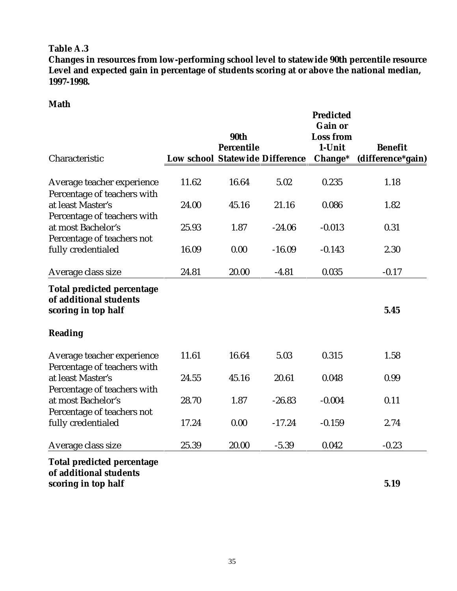**Changes in resources from low-performing school level to statewide 90th percentile resource Level and expected gain in percentage of students scoring at or above the national median, 1997-1998.** 

# **Math**

|                                                                                    |                                        | 90th<br><b>Percentile</b> |          | <b>Predicted</b><br><b>Gain or</b><br><b>Loss from</b><br>1-Unit | <b>Benefit</b>    |
|------------------------------------------------------------------------------------|----------------------------------------|---------------------------|----------|------------------------------------------------------------------|-------------------|
| Characteristic                                                                     | <b>Low school Statewide Difference</b> |                           |          | Change*                                                          | (difference*gain) |
| Average teacher experience<br>Percentage of teachers with                          | 11.62                                  | 16.64                     | 5.02     | 0.235                                                            | 1.18              |
| at least Master's<br>Percentage of teachers with                                   | 24.00                                  | 45.16                     | 21.16    | 0.086                                                            | 1.82              |
| at most Bachelor's<br>Percentage of teachers not                                   | 25.93                                  | 1.87                      | $-24.06$ | $-0.013$                                                         | 0.31              |
| fully credentialed                                                                 | 16.09                                  | 0.00                      | $-16.09$ | $-0.143$                                                         | 2.30              |
| Average class size                                                                 | 24.81                                  | 20.00                     | $-4.81$  | 0.035                                                            | $-0.17$           |
| <b>Total predicted percentage</b><br>of additional students<br>scoring in top half |                                        |                           |          |                                                                  | 5.45              |
| <b>Reading</b>                                                                     |                                        |                           |          |                                                                  |                   |
| Average teacher experience<br>Percentage of teachers with                          | 11.61                                  | 16.64                     | 5.03     | 0.315                                                            | 1.58              |
| at least Master's<br>Percentage of teachers with                                   | 24.55                                  | 45.16                     | 20.61    | 0.048                                                            | 0.99              |
| at most Bachelor's<br>Percentage of teachers not                                   | 28.70                                  | 1.87                      | $-26.83$ | $-0.004$                                                         | 0.11              |
| fully credentialed                                                                 | 17.24                                  | 0.00                      | $-17.24$ | $-0.159$                                                         | 2.74              |
| Average class size                                                                 | 25.39                                  | 20.00                     | $-5.39$  | 0.042                                                            | $-0.23$           |
| <b>Total predicted percentage</b><br>of additional students<br>scoring in top half |                                        |                           |          |                                                                  | 5.19              |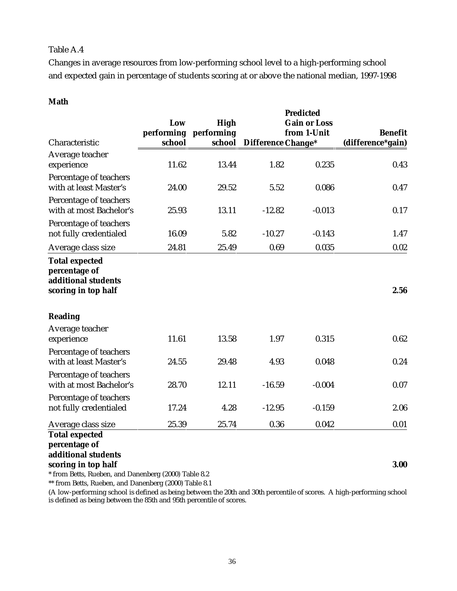Changes in average resources from low-performing school level to a high-performing school and expected gain in percentage of students scoring at or above the national median, 1997-1998

## **Math**

|                                                                                      | Low<br>performing | High<br>performing |                    | <b>Predicted</b><br><b>Gain or Loss</b><br>from 1-Unit | <b>Benefit</b><br>(difference*gain) |  |
|--------------------------------------------------------------------------------------|-------------------|--------------------|--------------------|--------------------------------------------------------|-------------------------------------|--|
| Characteristic                                                                       | school            | school             | Difference Change* |                                                        |                                     |  |
| Average teacher<br>experience                                                        | 11.62             | 13.44              | 1.82               | 0.235                                                  | 0.43                                |  |
| Percentage of teachers<br>with at least Master's                                     | 24.00             | 29.52              | 5.52               | 0.086                                                  | 0.47                                |  |
| Percentage of teachers<br>with at most Bachelor's                                    | 25.93             | 13.11              | $-12.82$           | $-0.013$                                               | 0.17                                |  |
| Percentage of teachers<br>not fully credentialed                                     | 16.09             | 5.82               | $-10.27$           | $-0.143$                                               | 1.47                                |  |
| Average class size                                                                   | 24.81             | 25.49              | 0.69               | 0.035                                                  | 0.02                                |  |
| <b>Total expected</b><br>percentage of<br>additional students<br>scoring in top half |                   |                    |                    |                                                        | 2.56                                |  |
| Reading                                                                              |                   |                    |                    |                                                        |                                     |  |
| Average teacher<br>experience                                                        | 11.61             | 13.58              | 1.97               | 0.315                                                  | 0.62                                |  |
| Percentage of teachers<br>with at least Master's                                     | 24.55             | 29.48              | 4.93               | 0.048                                                  | 0.24                                |  |
| Percentage of teachers<br>with at most Bachelor's                                    | 28.70             | 12.11              | $-16.59$           | $-0.004$                                               | 0.07                                |  |
| Percentage of teachers<br>not fully credentialed                                     | 17.24             | 4.28               | $-12.95$           | $-0.159$                                               | 2.06                                |  |
| Average class size                                                                   | 25.39             | 25.74              | 0.36               | 0.042                                                  | 0.01                                |  |
| <b>Total expected</b><br>percentage of<br>additional students<br>scoring in top half |                   |                    |                    |                                                        | 3.00                                |  |

\* from Betts, Rueben, and Danenberg (2000) Table 8.2

\*\* from Betts, Rueben, and Danenberg (2000) Table 8.1

(A low-performing school is defined as being between the 20th and 30th percentile of scores. A high-performing school is defined as being between the 85th and 95th percentile of scores.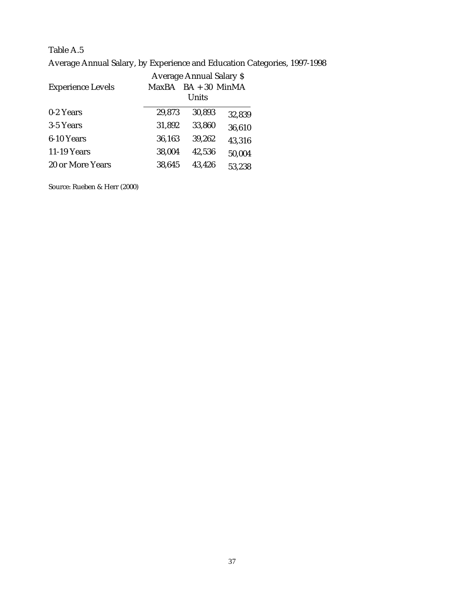Average Annual Salary, by Experience and Education Categories, 1997-1998

|                          | Average Annual Salary \$ |                 |        |  |  |  |  |
|--------------------------|--------------------------|-----------------|--------|--|--|--|--|
| <b>Experience Levels</b> | MaxBA                    | $BA + 30$ MinMA |        |  |  |  |  |
|                          |                          | Units           |        |  |  |  |  |
| 0-2 Years                | 29,873                   | 30,893          | 32,839 |  |  |  |  |
| 3-5 Years                | 31,892                   | 33,860          | 36,610 |  |  |  |  |
| 6-10 Years               | 36,163                   | 39,262          | 43,316 |  |  |  |  |
| 11-19 Years              | 38,004                   | 42,536          | 50,004 |  |  |  |  |
| 20 or More Years         | 38,645                   | 43,426          | 53,238 |  |  |  |  |

Source: Rueben & Herr (2000)